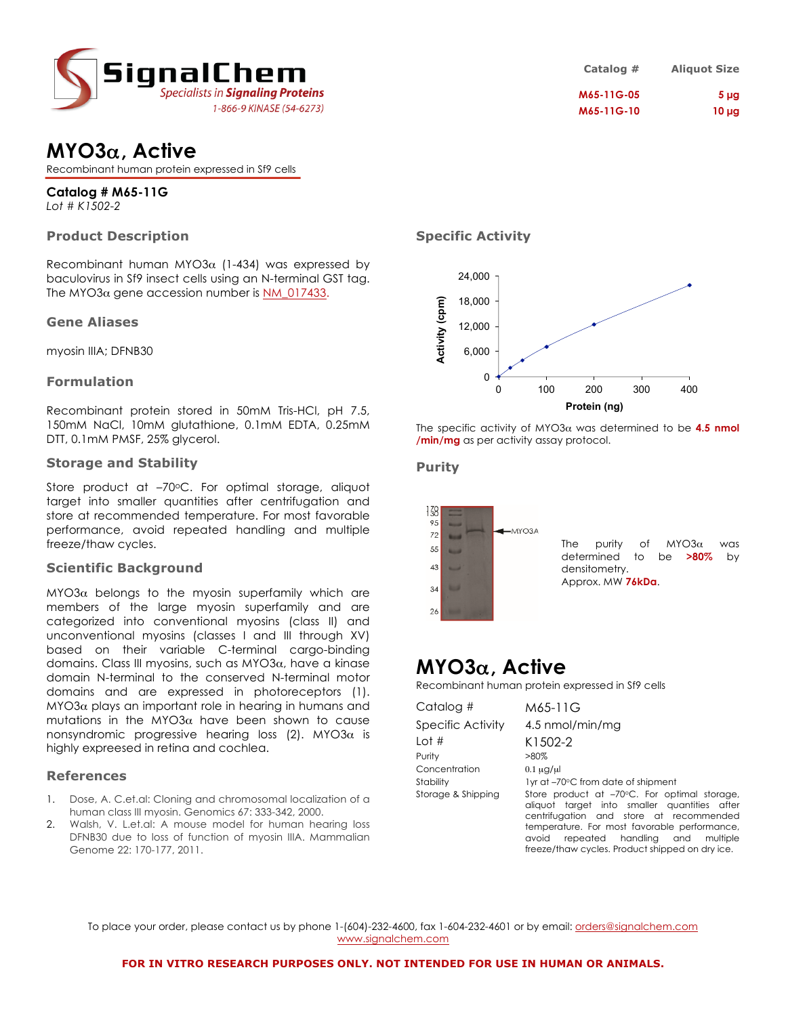

| Catalog #  | <b>Aliquot Size</b> |
|------------|---------------------|
| M65-11G-05 | 5 <sub>µg</sub>     |
| M65-11G-10 | $10 \mu g$          |

# **MYO3**α**, Active**

Recombinant human protein expressed in Sf9 cells

**Catalog # M65-11G** *Lot # K1502-2*

## **Product Description**

Recombinant human MYO3 $\alpha$  (1-434) was expressed by baculovirus in Sf9 insect cells using an N-terminal GST tag. The MYO3 $\alpha$  gene accession number is NM 017433.

#### **Gene Aliases**

myosin IIIA; DFNB30

#### **Formulation**

Recombinant protein stored in 50mM Tris-HCl, pH 7.5, 150mM NaCl, 10mM glutathione, 0.1mM EDTA, 0.25mM DTT, 0.1mM PMSF, 25% glycerol.

#### **Storage and Stability**

Store product at -70°C. For optimal storage, aliquot target into smaller quantities after centrifugation and store at recommended temperature. For most favorable performance, avoid repeated handling and multiple freeze/thaw cycles.

#### **Scientific Background**

 $MYO3α$  belongs to the myosin superfamily which are members of the large myosin superfamily and are categorized into conventional myosins (class II) and unconventional myosins (classes I and III through XV) based on their variable C-terminal cargo-binding domains. Class III myosins, such as MYO3 $\alpha$ , have a kinase domain N-terminal to the conserved N-terminal motor domains and are expressed in photoreceptors (1).  $M<sup>2</sup>$  plays an important role in hearing in humans and mutations in the MYO3 $\alpha$  have been shown to cause nonsyndromic progressive hearing loss (2). MYO3 $\alpha$  is highly expreesed in retina and cochlea.

#### **References**

- 1. Dose, A. C.et.al: Cloning and chromosomal localization of a human class III myosin. Genomics 67: 333-342, 2000.
- 2. Walsh, V. L.et.al: A mouse model for human hearing loss DFNB30 due to loss of function of myosin IIIA. Mammalian Genome 22: 170-177, 2011.

## **Specific Activity**



The specific activity of MYO3α was determined to be **4.5 nmol /min/mg** as per activity assay protocol.

#### **Purity**



The purity of MYO3 $\alpha$  was determined to be **>80%** by densitometry. Approx. MW **76kDa**.

# **MYO3**α**, Active**

Recombinant human protein expressed in Sf9 cells

| Catalog #          | M65-11G                                                                                                                                                                                                                            |
|--------------------|------------------------------------------------------------------------------------------------------------------------------------------------------------------------------------------------------------------------------------|
| Specific Activity  | 4.5 nmol/min/mg                                                                                                                                                                                                                    |
| Lot #              | K1502-2                                                                                                                                                                                                                            |
| Purity             | $>80\%$                                                                                                                                                                                                                            |
| Concentration      | $0.1 \mu$ g/ul                                                                                                                                                                                                                     |
| Stability          | 1yr at -70°C from date of shipment                                                                                                                                                                                                 |
| Storage & Shipping | Store product at -70°C. For optimal storage,<br>aliquot target into smaller quantities after<br>centrifugation and store at recommended<br>temperature. For most favorable performance,<br>repeated handling and multiple<br>avoid |
|                    | freeze/thaw cycles. Product shipped on dry ice.                                                                                                                                                                                    |

To place your order, please contact us by phone 1-(604)-232-4600, fax 1-604-232-4601 or by email: orders@signalchem.com www.signalchem.com